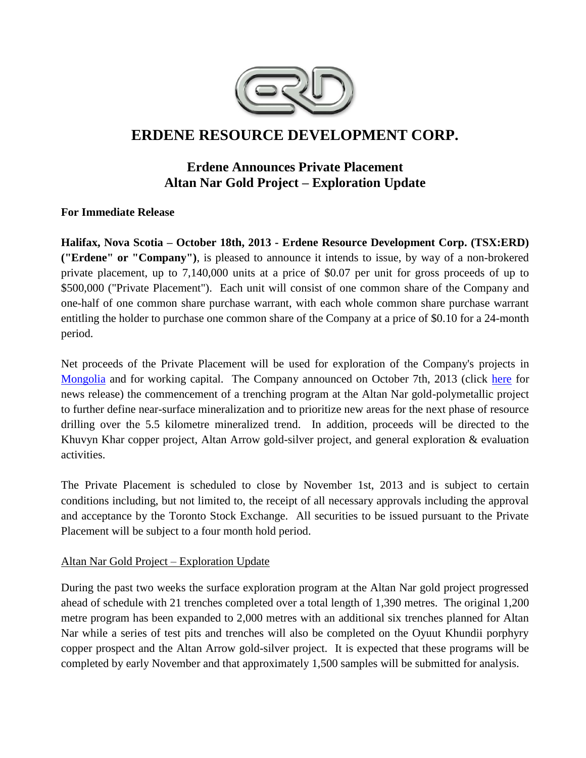

# **ERDENE RESOURCE DEVELOPMENT CORP.**

## **Erdene Announces Private Placement Altan Nar Gold Project – Exploration Update**

**For Immediate Release**

**Halifax, Nova Scotia – October 18th, 2013 - Erdene Resource Development Corp. (TSX:ERD) ("Erdene" or "Company")**, is pleased to announce it intends to issue, by way of a non-brokered private placement, up to 7,140,000 units at a price of \$0.07 per unit for gross proceeds of up to \$500,000 ("Private Placement"). Each unit will consist of one common share of the Company and one-half of one common share purchase warrant, with each whole common share purchase warrant entitling the holder to purchase one common share of the Company at a price of \$0.10 for a 24-month period.

Net proceeds of the Private Placement will be used for exploration of the Company's projects in [Mongolia](http://www.erdene.com/) and for working capital. The Company announced on October 7th, 2013 (click [here](http://investor.shareholder.com/erd/releasedetail.cfm?ReleaseID=795224) for news release) the commencement of a trenching program at the Altan Nar gold-polymetallic project to further define near-surface mineralization and to prioritize new areas for the next phase of resource drilling over the 5.5 kilometre mineralized trend. In addition, proceeds will be directed to the Khuvyn Khar copper project, Altan Arrow gold-silver project, and general exploration & evaluation activities.

The Private Placement is scheduled to close by November 1st, 2013 and is subject to certain conditions including, but not limited to, the receipt of all necessary approvals including the approval and acceptance by the Toronto Stock Exchange. All securities to be issued pursuant to the Private Placement will be subject to a four month hold period.

## Altan Nar Gold Project – Exploration Update

During the past two weeks the surface exploration program at the Altan Nar gold project progressed ahead of schedule with 21 trenches completed over a total length of 1,390 metres. The original 1,200 metre program has been expanded to 2,000 metres with an additional six trenches planned for Altan Nar while a series of test pits and trenches will also be completed on the Oyuut Khundii porphyry copper prospect and the Altan Arrow gold-silver project. It is expected that these programs will be completed by early November and that approximately 1,500 samples will be submitted for analysis.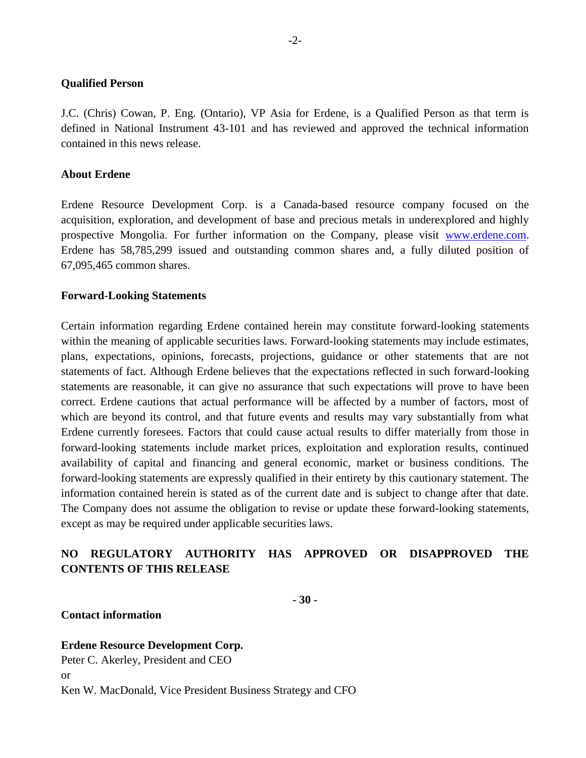#### **Qualified Person**

J.C. (Chris) Cowan, P. Eng. (Ontario), VP Asia for Erdene, is a Qualified Person as that term is defined in National Instrument 43-101 and has reviewed and approved the technical information contained in this news release.

#### **About Erdene**

Erdene Resource Development Corp. is a Canada-based resource company focused on the acquisition, exploration, and development of base and precious metals in underexplored and highly prospective Mongolia. For further information on the Company, please visit [www.erdene.com.](file:///C:/Users/User/AppData/Local/Microsoft/Windows/Temporary%20Internet%20Files/Content.Outlook/AQIHEH4C/www.erdene.com) Erdene has 58,785,299 issued and outstanding common shares and, a fully diluted position of 67,095,465 common shares.

#### **Forward-Looking Statements**

Certain information regarding Erdene contained herein may constitute forward-looking statements within the meaning of applicable securities laws. Forward-looking statements may include estimates, plans, expectations, opinions, forecasts, projections, guidance or other statements that are not statements of fact. Although Erdene believes that the expectations reflected in such forward-looking statements are reasonable, it can give no assurance that such expectations will prove to have been correct. Erdene cautions that actual performance will be affected by a number of factors, most of which are beyond its control, and that future events and results may vary substantially from what Erdene currently foresees. Factors that could cause actual results to differ materially from those in forward-looking statements include market prices, exploitation and exploration results, continued availability of capital and financing and general economic, market or business conditions. The forward-looking statements are expressly qualified in their entirety by this cautionary statement. The information contained herein is stated as of the current date and is subject to change after that date. The Company does not assume the obligation to revise or update these forward-looking statements, except as may be required under applicable securities laws.

## **NO REGULATORY AUTHORITY HAS APPROVED OR DISAPPROVED THE CONTENTS OF THIS RELEASE**

**- 30 -**

#### **Contact information**

### **Erdene Resource Development Corp.**

Peter C. Akerley, President and CEO or

Ken W. MacDonald, Vice President Business Strategy and CFO